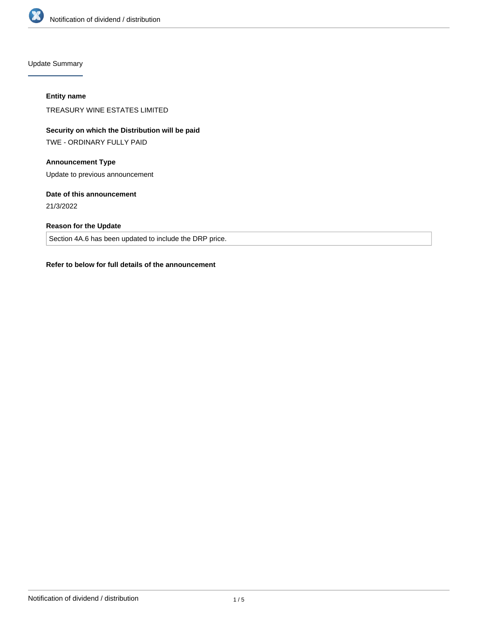

Update Summary

#### **Entity name**

TREASURY WINE ESTATES LIMITED

# **Security on which the Distribution will be paid**

TWE - ORDINARY FULLY PAID

# **Announcement Type**

Update to previous announcement

## **Date of this announcement**

21/3/2022

# **Reason for the Update**

Section 4A.6 has been updated to include the DRP price.

### **Refer to below for full details of the announcement**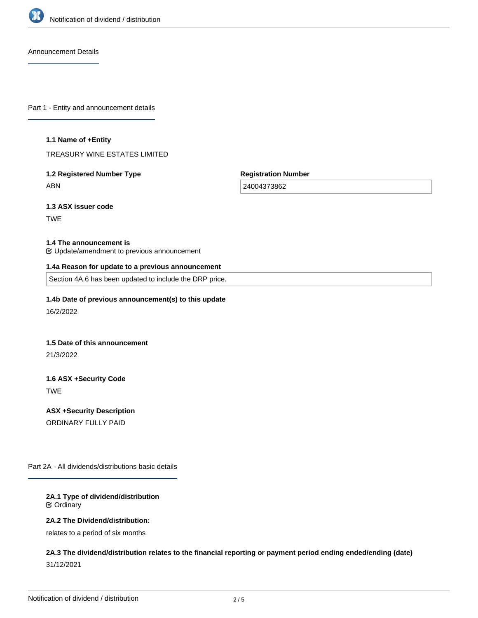

Announcement Details

Part 1 - Entity and announcement details

#### **1.1 Name of +Entity**

TREASURY WINE ESTATES LIMITED

# **1.2 Registered Number Type** ABN

**Registration Number**

24004373862

**1.3 ASX issuer code**

TWE

#### **1.4 The announcement is**

Update/amendment to previous announcement

#### **1.4a Reason for update to a previous announcement**

Section 4A.6 has been updated to include the DRP price.

## **1.4b Date of previous announcement(s) to this update**

16/2/2022

#### **1.5 Date of this announcement**

21/3/2022

# **1.6 ASX +Security Code** TWE

**ASX +Security Description** ORDINARY FULLY PAID

Part 2A - All dividends/distributions basic details

#### **2A.1 Type of dividend/distribution** Ordinary

#### **2A.2 The Dividend/distribution:**

relates to a period of six months

# **2A.3 The dividend/distribution relates to the financial reporting or payment period ending ended/ending (date)** 31/12/2021

**2A.4 +Record Date**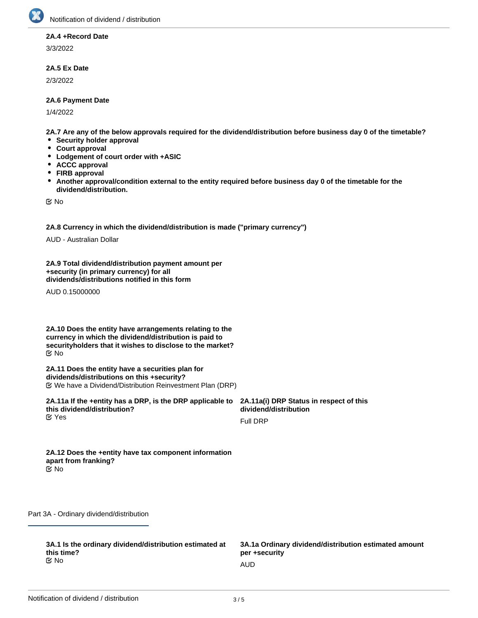

#### **2A.4 +Record Date**

3/3/2022

## **2A.5 Ex Date**

2/3/2022

#### **2A.6 Payment Date**

1/4/2022

**2A.7 Are any of the below approvals required for the dividend/distribution before business day 0 of the timetable?**

- **•** Security holder approval
- **Court approval**
- **Lodgement of court order with +ASIC**
- **ACCC approval**
- **FIRB approval**
- $\bullet$ **Another approval/condition external to the entity required before business day 0 of the timetable for the dividend/distribution.**

No

**2A.8 Currency in which the dividend/distribution is made ("primary currency")**

AUD - Australian Dollar

**2A.9 Total dividend/distribution payment amount per +security (in primary currency) for all dividends/distributions notified in this form**

AUD 0.15000000

**2A.10 Does the entity have arrangements relating to the currency in which the dividend/distribution is paid to securityholders that it wishes to disclose to the market?** No

**2A.11 Does the entity have a securities plan for dividends/distributions on this +security?** We have a Dividend/Distribution Reinvestment Plan (DRP)

**2A.11a If the +entity has a DRP, is the DRP applicable to this dividend/distribution? K** Yes

**2A.11a(i) DRP Status in respect of this dividend/distribution**

Full DRP

**2A.12 Does the +entity have tax component information apart from franking?** No

Part 3A - Ordinary dividend/distribution

**3A.1 Is the ordinary dividend/distribution estimated at this time?** No and the contract of the contract of the contract of the contract of the contract of the contract of the contract of the contract of the contract of the contract of the contract of the contract of the contract of the con

**3A.1a Ordinary dividend/distribution estimated amount per +security**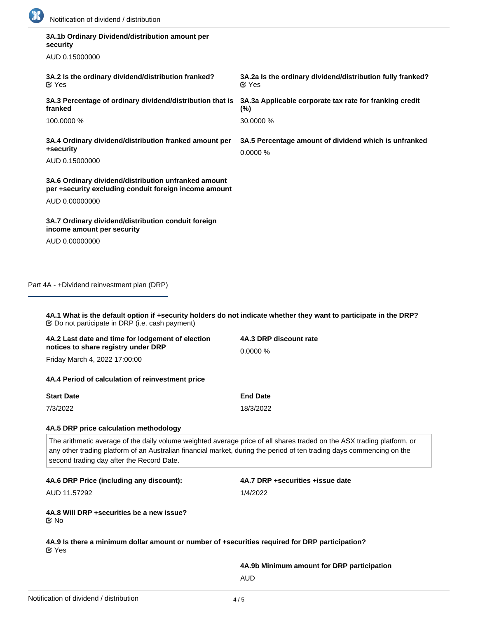

| security                                                                                                                                                                             |                                                                                                                        |
|--------------------------------------------------------------------------------------------------------------------------------------------------------------------------------------|------------------------------------------------------------------------------------------------------------------------|
| AUD 0.15000000                                                                                                                                                                       |                                                                                                                        |
| 3A.2 Is the ordinary dividend/distribution franked?<br><b>M</b> Yes                                                                                                                  | 3A.2a Is the ordinary dividend/distribution fully franked?<br>$\alpha$ Yes                                             |
| 3A.3 Percentage of ordinary dividend/distribution that is<br>franked                                                                                                                 | 3A.3a Applicable corporate tax rate for franking credit<br>$(\%)$                                                      |
| 100.0000 %                                                                                                                                                                           | 30.0000 %                                                                                                              |
| 3A.4 Ordinary dividend/distribution franked amount per<br>+security                                                                                                                  | 3A.5 Percentage amount of dividend which is unfranked<br>0.0000%                                                       |
| AUD 0.15000000                                                                                                                                                                       |                                                                                                                        |
| 3A.6 Ordinary dividend/distribution unfranked amount<br>per +security excluding conduit foreign income amount                                                                        |                                                                                                                        |
| AUD 0.00000000                                                                                                                                                                       |                                                                                                                        |
| 3A.7 Ordinary dividend/distribution conduit foreign<br>income amount per security                                                                                                    |                                                                                                                        |
| AUD 0.00000000                                                                                                                                                                       |                                                                                                                        |
| <b> ©</b> Do not participate in DRP (i.e. cash payment)<br>4A.2 Last date and time for lodgement of election<br>notices to share registry under DRP<br>Friday March 4, 2022 17:00:00 | 4A.3 DRP discount rate<br>0.0000%                                                                                      |
|                                                                                                                                                                                      |                                                                                                                        |
| 4A.4 Period of calculation of reinvestment price                                                                                                                                     |                                                                                                                        |
| <b>Start Date</b><br>7/3/2022                                                                                                                                                        | <b>End Date</b><br>18/3/2022                                                                                           |
|                                                                                                                                                                                      |                                                                                                                        |
|                                                                                                                                                                                      |                                                                                                                        |
| 4A.5 DRP price calculation methodology                                                                                                                                               |                                                                                                                        |
| any other trading platform of an Australian financial market, during the period of ten trading days commencing on the<br>second trading day after the Record Date.                   | The arithmetic average of the daily volume weighted average price of all shares traded on the ASX trading platform, or |
| 4A.6 DRP Price (including any discount):                                                                                                                                             | 4A.7 DRP +securities +issue date                                                                                       |
| AUD 11.57292                                                                                                                                                                         | 1/4/2022                                                                                                               |
| 4A.8 Will DRP + securities be a new issue?<br>Mo No                                                                                                                                  |                                                                                                                        |
| 4A.9 Is there a minimum dollar amount or number of +securities required for DRP participation?<br><b>M</b> Yes                                                                       |                                                                                                                        |

AUD